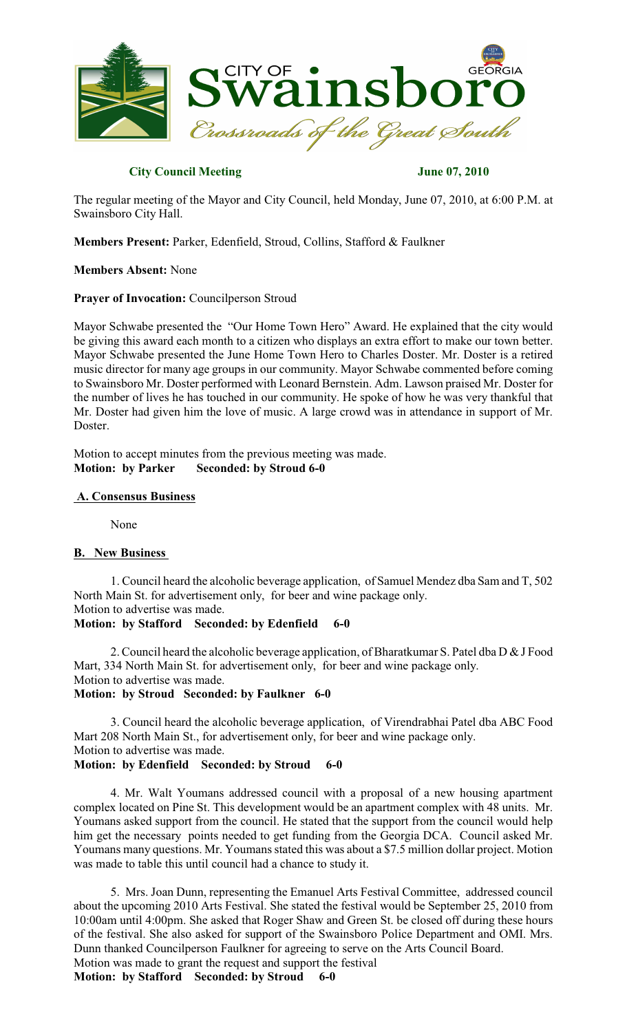

## **City Council Meeting June 07, 2010**

The regular meeting of the Mayor and City Council, held Monday, June 07, 2010, at 6:00 P.M. at Swainsboro City Hall.

**Members Present:** Parker, Edenfield, Stroud, Collins, Stafford & Faulkner

## **Members Absent:** None

## **Prayer of Invocation:** Councilperson Stroud

Mayor Schwabe presented the "Our Home Town Hero" Award. He explained that the city would be giving this award each month to a citizen who displays an extra effort to make our town better. Mayor Schwabe presented the June Home Town Hero to Charles Doster. Mr. Doster is a retired music director for many age groups in our community. Mayor Schwabe commented before coming to Swainsboro Mr. Doster performed with Leonard Bernstein. Adm. Lawson praised Mr. Doster for the number of lives he has touched in our community. He spoke of how he was very thankful that Mr. Doster had given him the love of music. A large crowd was in attendance in support of Mr. Doster.

Motion to accept minutes from the previous meeting was made. **Motion: by Parker Seconded: by Stroud 6-0**

### **A. Consensus Business**

None

#### **B. New Business**

1. Council heard the alcoholic beverage application, of Samuel Mendez dba Sam and T, 502 North Main St. for advertisement only, for beer and wine package only. Motion to advertise was made.

#### **Motion: by Stafford Seconded: by Edenfield 6-0**

2. Council heard the alcoholic beverage application, of Bharatkumar S. Patel dba D & J Food Mart, 334 North Main St. for advertisement only, for beer and wine package only. Motion to advertise was made.

**Motion: by Stroud Seconded: by Faulkner 6-0**

3. Council heard the alcoholic beverage application, of Virendrabhai Patel dba ABC Food Mart 208 North Main St., for advertisement only, for beer and wine package only. Motion to advertise was made. **Motion: by Edenfield Seconded: by Stroud 6-0**

4. Mr. Walt Youmans addressed council with a proposal of a new housing apartment complex located on Pine St. This development would be an apartment complex with 48 units. Mr. Youmans asked support from the council. He stated that the support from the council would help him get the necessary points needed to get funding from the Georgia DCA. Council asked Mr. Youmans many questions. Mr. Youmans stated this was about a \$7.5 million dollar project. Motion was made to table this until council had a chance to study it.

5. Mrs. Joan Dunn, representing the Emanuel Arts Festival Committee, addressed council about the upcoming 2010 Arts Festival. She stated the festival would be September 25, 2010 from 10:00am until 4:00pm. She asked that Roger Shaw and Green St. be closed off during these hours of the festival. She also asked for support of the Swainsboro Police Department and OMI. Mrs. Dunn thanked Councilperson Faulkner for agreeing to serve on the Arts Council Board. Motion was made to grant the request and support the festival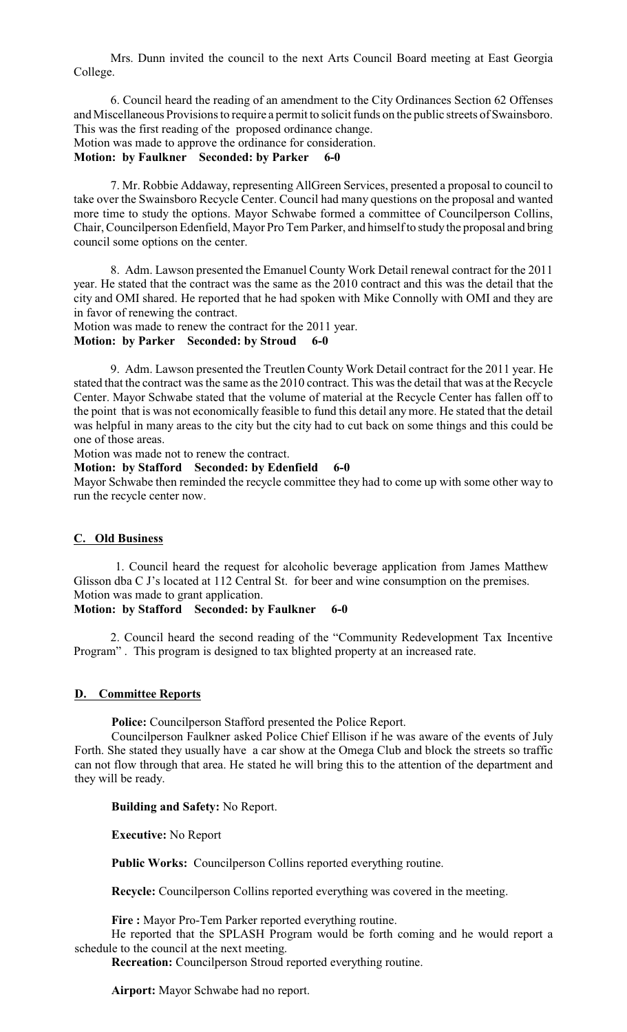Mrs. Dunn invited the council to the next Arts Council Board meeting at East Georgia College.

6. Council heard the reading of an amendment to the City Ordinances Section 62 Offenses and Miscellaneous Provisions to require a permit to solicit funds on the public streets of Swainsboro. This was the first reading of the proposed ordinance change. Motion was made to approve the ordinance for consideration.

#### **Motion: by Faulkner Seconded: by Parker 6-0**

7. Mr. Robbie Addaway, representing AllGreen Services, presented a proposal to council to take over the Swainsboro Recycle Center. Council had many questions on the proposal and wanted more time to study the options. Mayor Schwabe formed a committee of Councilperson Collins, Chair, Councilperson Edenfield, Mayor Pro Tem Parker, and himself to study the proposal and bring council some options on the center.

8. Adm. Lawson presented the Emanuel County Work Detail renewal contract for the 2011 year. He stated that the contract was the same as the 2010 contract and this was the detail that the city and OMI shared. He reported that he had spoken with Mike Connolly with OMI and they are in favor of renewing the contract.

Motion was made to renew the contract for the 2011 year. **Motion: by Parker Seconded: by Stroud 6-0**

9. Adm. Lawson presented the Treutlen County Work Detail contract for the 2011 year. He stated that the contract was the same as the 2010 contract. This was the detail that was at the Recycle Center. Mayor Schwabe stated that the volume of material at the Recycle Center has fallen off to the point that is was not economically feasible to fund this detail any more. He stated that the detail was helpful in many areas to the city but the city had to cut back on some things and this could be one of those areas.

Motion was made not to renew the contract.

### **Motion: by Stafford Seconded: by Edenfield 6-0**

Mayor Schwabe then reminded the recycle committee they had to come up with some other way to run the recycle center now.

#### **C. Old Business**

1. Council heard the request for alcoholic beverage application from James Matthew Glisson dba C J's located at 112 Central St. for beer and wine consumption on the premises. Motion was made to grant application.

## **Motion: by Stafford Seconded: by Faulkner 6-0**

2. Council heard the second reading of the "Community Redevelopment Tax Incentive Program" . This program is designed to tax blighted property at an increased rate.

## **D. Committee Reports**

**Police:** Councilperson Stafford presented the Police Report.

Councilperson Faulkner asked Police Chief Ellison if he was aware of the events of July Forth. She stated they usually have a car show at the Omega Club and block the streets so traffic can not flow through that area. He stated he will bring this to the attention of the department and they will be ready.

#### **Building and Safety:** No Report.

**Executive:** No Report

**Public Works:** Councilperson Collins reported everything routine.

**Recycle:** Councilperson Collins reported everything was covered in the meeting.

**Fire :** Mayor Pro-Tem Parker reported everything routine.

He reported that the SPLASH Program would be forth coming and he would report a schedule to the council at the next meeting.

**Recreation:** Councilperson Stroud reported everything routine.

**Airport:** Mayor Schwabe had no report.